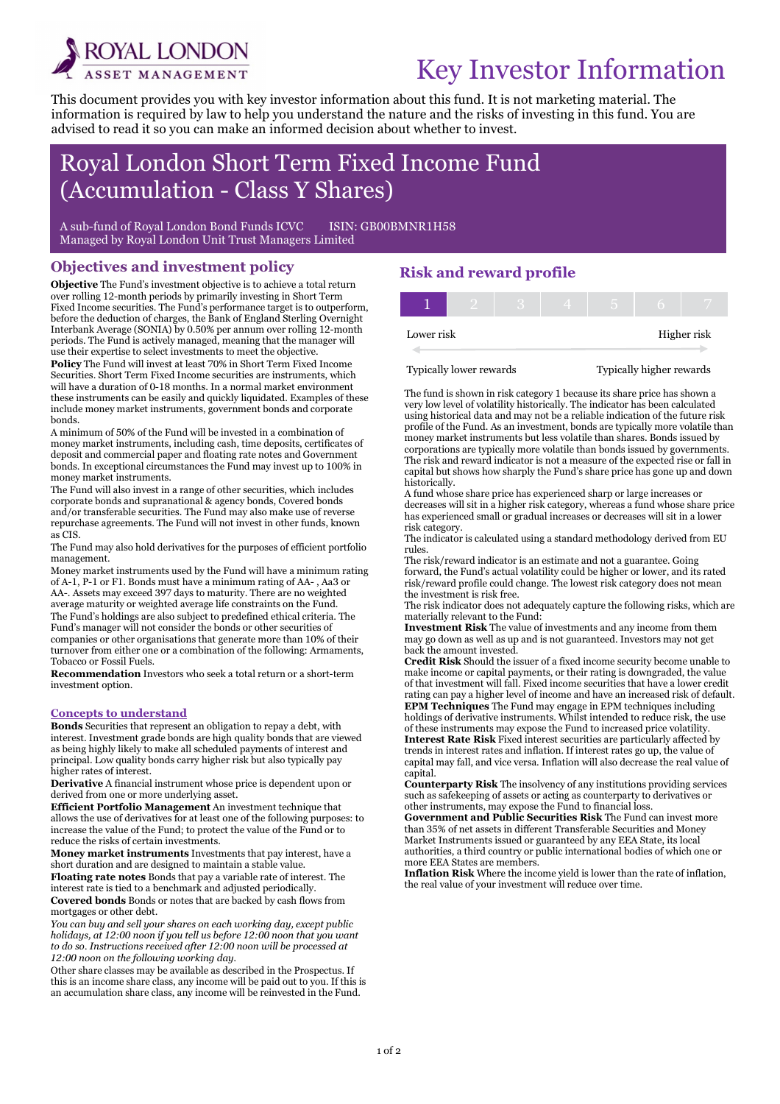

i

# Key Investor Information

This document provides you with key investor information about this fund. It is not marketing material. The information is required by law to help you understand the nature and the risks of investing in this fund. You are advised to read it so you can make an informed decision about whether to invest.

## Royal London Short Term Fixed Income Fund (Accumulation - Class Y Shares)

A sub-fund of Royal London Bond Funds ICVC ISIN: GB00BMNR1H58 Managed by Royal London Unit Trust Managers Limited

#### Objectives and investment policy

Objective The Fund's investment objective is to achieve a total return over rolling 12-month periods by primarily investing in Short Term Fixed Income securities. The Fund's performance target is to outperform, before the deduction of charges, the Bank of England Sterling Overnight Interbank Average (SONIA) by 0.50% per annum over rolling 12-month periods. The Fund is actively managed, meaning that the manager will use their expertise to select investments to meet the objective. Policy The Fund will invest at least 70% in Short Term Fixed Income Securities. Short Term Fixed Income securities are instruments, which will have a duration of 0-18 months. In a normal market environment these instruments can be easily and quickly liquidated. Examples of these include money market instruments, government bonds and corporate bonds.

A minimum of 50% of the Fund will be invested in a combination of money market instruments, including cash, time deposits, certificates of deposit and commercial paper and floating rate notes and Government bonds. In exceptional circumstances the Fund may invest up to 100% in money market instruments.

The Fund will also invest in a range of other securities, which includes corporate bonds and supranational & agency bonds, Covered bonds and/or transferable securities. The Fund may also make use of reverse repurchase agreements. The Fund will not invest in other funds, known as CIS.

The Fund may also hold derivatives for the purposes of efficient portfolio management.

Money market instruments used by the Fund will have a minimum rating of A-1, P-1 or F1. Bonds must have a minimum rating of AA- , Aa3 or AA-. Assets may exceed 397 days to maturity. There are no weighted average maturity or weighted average life constraints on the Fund. The Fund's holdings are also subject to predefined ethical criteria. The Fund's manager will not consider the bonds or other securities of companies or other organisations that generate more than 10% of their turnover from either one or a combination of the following: Armaments, Tobacco or Fossil Fuels.

Recommendation Investors who seek a total return or a short-term investment option.

#### Concepts to understand

Bonds Securities that represent an obligation to repay a debt, with interest. Investment grade bonds are high quality bonds that are viewed as being highly likely to make all scheduled payments of interest and principal. Low quality bonds carry higher risk but also typically pay higher rates of interest.

Derivative A financial instrument whose price is dependent upon or derived from one or more underlying asset.

Efficient Portfolio Management An investment technique that allows the use of derivatives for at least one of the following purposes: to increase the value of the Fund; to protect the value of the Fund or to reduce the risks of certain investments.

Money market instruments Investments that pay interest, have a short duration and are designed to maintain a stable value.

Floating rate notes Bonds that pay a variable rate of interest. The interest rate is tied to a benchmark and adjusted periodically.

Covered bonds Bonds or notes that are backed by cash flows from mortgages or other debt.

You can buy and sell your shares on each working day, except public holidays, at 12:00 noon if you tell us before 12:00 noon that you want to do so. Instructions received after 12:00 noon will be processed at 12:00 noon on the following working day.

Other share classes may be available as described in the Prospectus. If this is an income share class, any income will be paid out to you. If this is an accumulation share class, any income will be reinvested in the Fund.

### Risk and reward profile

| Lower risk |  |  |  | Higher risk |
|------------|--|--|--|-------------|

Typically lower rewards Typically higher rewards

The fund is shown in risk category 1 because its share price has shown a very low level of volatility historically. The indicator has been calculated using historical data and may not be a reliable indication of the future risk profile of the Fund. As an investment, bonds are typically more volatile than money market instruments but less volatile than shares. Bonds issued by corporations are typically more volatile than bonds issued by governments. The risk and reward indicator is not a measure of the expected rise or fall in capital but shows how sharply the Fund's share price has gone up and down historically.

A fund whose share price has experienced sharp or large increases or decreases will sit in a higher risk category, whereas a fund whose share price has experienced small or gradual increases or decreases will sit in a lower risk category.

The indicator is calculated using a standard methodology derived from EU rules.

The risk/reward indicator is an estimate and not a guarantee. Going forward, the Fund's actual volatility could be higher or lower, and its rated risk/reward profile could change. The lowest risk category does not mean the investment is risk free.

The risk indicator does not adequately capture the following risks, which are materially relevant to the Fund:

Investment Risk The value of investments and any income from them may go down as well as up and is not guaranteed. Investors may not get back the amount invested.

Credit Risk Should the issuer of a fixed income security become unable to make income or capital payments, or their rating is downgraded, the value of that investment will fall. Fixed income securities that have a lower credit rating can pay a higher level of income and have an increased risk of default. EPM Techniques The Fund may engage in EPM techniques including holdings of derivative instruments. Whilst intended to reduce risk, the use of these instruments may expose the Fund to increased price volatility. Interest Rate Risk Fixed interest securities are particularly affected by trends in interest rates and inflation. If interest rates go up, the value of capital may fall, and vice versa. Inflation will also decrease the real value of capital.

Counterparty Risk The insolvency of any institutions providing services such as safekeeping of assets or acting as counterparty to derivatives or other instruments, may expose the Fund to financial loss.

Government and Public Securities Risk The Fund can invest more than 35% of net assets in different Transferable Securities and Money Market Instruments issued or guaranteed by any EEA State, its local authorities, a third country or public international bodies of which one or more EEA States are members.

Inflation Risk Where the income yield is lower than the rate of inflation, the real value of your investment will reduce over time.